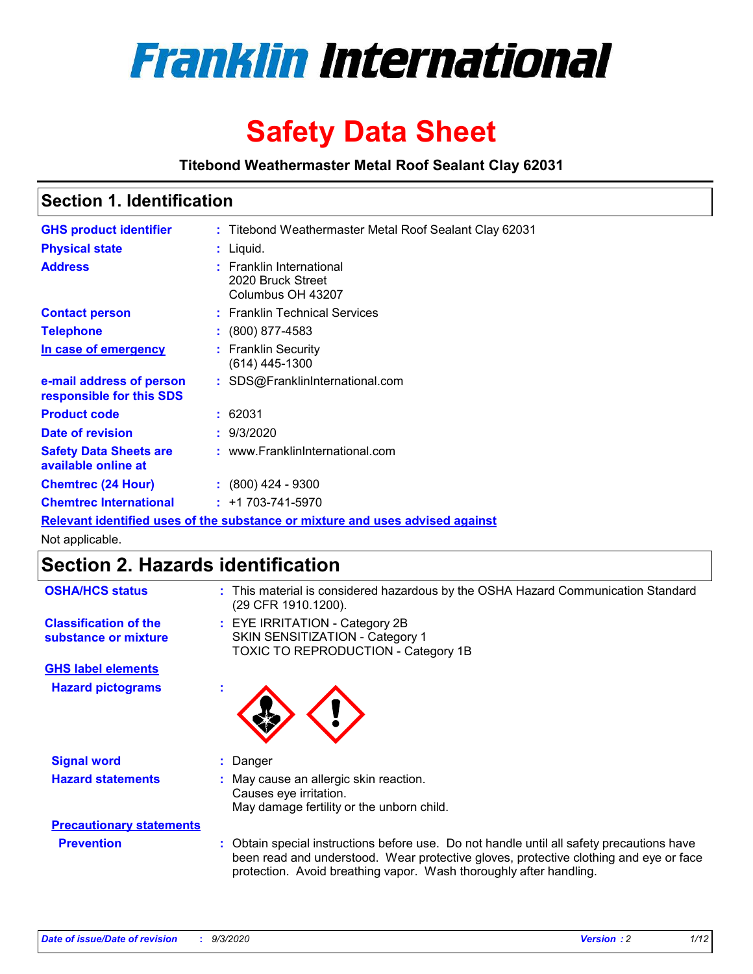

# **Safety Data Sheet**

**Titebond Weathermaster Metal Roof Sealant Clay 62031**

### **Section 1. Identification**

| <b>GHS product identifier</b>                                                 |  | : Titebond Weathermaster Metal Roof Sealant Clay 62031             |  |  |
|-------------------------------------------------------------------------------|--|--------------------------------------------------------------------|--|--|
| <b>Physical state</b>                                                         |  | : Liquid.                                                          |  |  |
| <b>Address</b>                                                                |  | : Franklin International<br>2020 Bruck Street<br>Columbus OH 43207 |  |  |
| <b>Contact person</b>                                                         |  | : Franklin Technical Services                                      |  |  |
| <b>Telephone</b>                                                              |  | $\colon$ (800) 877-4583                                            |  |  |
| In case of emergency                                                          |  | : Franklin Security<br>(614) 445-1300                              |  |  |
| e-mail address of person<br>responsible for this SDS                          |  | : SDS@FranklinInternational.com                                    |  |  |
| <b>Product code</b>                                                           |  | : 62031                                                            |  |  |
| Date of revision                                                              |  | : 9/3/2020                                                         |  |  |
| <b>Safety Data Sheets are</b><br>available online at                          |  | : www.FranklinInternational.com                                    |  |  |
| <b>Chemtrec (24 Hour)</b>                                                     |  | $: (800)$ 424 - 9300                                               |  |  |
| <b>Chemtrec International</b>                                                 |  | $: +1703 - 741 - 5970$                                             |  |  |
| Relevant identified uses of the substance or mixture and uses advised against |  |                                                                    |  |  |

Not applicable.

# **Section 2. Hazards identification**

| <b>OSHA/HCS status</b>                               |    | : This material is considered hazardous by the OSHA Hazard Communication Standard<br>(29 CFR 1910.1200).                                                                                                                                                 |
|------------------------------------------------------|----|----------------------------------------------------------------------------------------------------------------------------------------------------------------------------------------------------------------------------------------------------------|
| <b>Classification of the</b><br>substance or mixture |    | : EYE IRRITATION - Category 2B<br>SKIN SENSITIZATION - Category 1<br>TOXIC TO REPRODUCTION - Category 1B                                                                                                                                                 |
| <b>GHS label elements</b>                            |    |                                                                                                                                                                                                                                                          |
| <b>Hazard pictograms</b>                             | ٠  |                                                                                                                                                                                                                                                          |
| <b>Signal word</b>                                   | ÷. | Danger                                                                                                                                                                                                                                                   |
| <b>Hazard statements</b>                             |    | May cause an allergic skin reaction.<br>Causes eye irritation.<br>May damage fertility or the unborn child.                                                                                                                                              |
| <b>Precautionary statements</b>                      |    |                                                                                                                                                                                                                                                          |
| <b>Prevention</b>                                    |    | : Obtain special instructions before use. Do not handle until all safety precautions have<br>been read and understood. Wear protective gloves, protective clothing and eye or face<br>protection. Avoid breathing vapor. Wash thoroughly after handling. |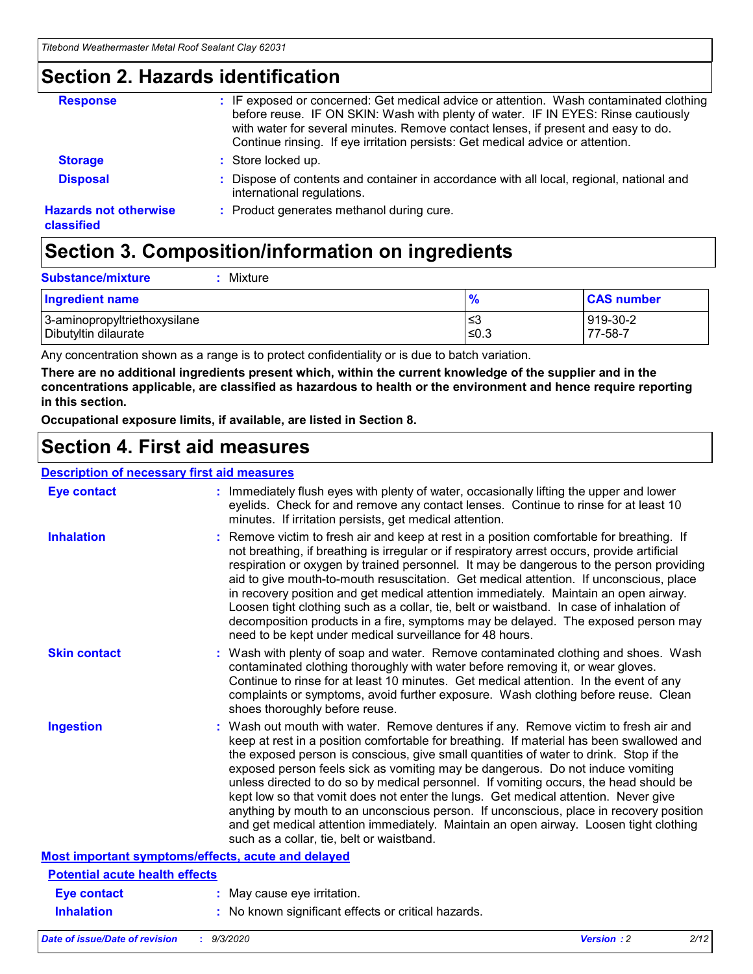### **Section 2. Hazards identification**

| <b>Response</b>                            | : IF exposed or concerned: Get medical advice or attention. Wash contaminated clothing<br>before reuse. IF ON SKIN: Wash with plenty of water. IF IN EYES: Rinse cautiously<br>with water for several minutes. Remove contact lenses, if present and easy to do.<br>Continue rinsing. If eye irritation persists: Get medical advice or attention. |
|--------------------------------------------|----------------------------------------------------------------------------------------------------------------------------------------------------------------------------------------------------------------------------------------------------------------------------------------------------------------------------------------------------|
| <b>Storage</b>                             | : Store locked up.                                                                                                                                                                                                                                                                                                                                 |
| <b>Disposal</b>                            | : Dispose of contents and container in accordance with all local, regional, national and<br>international regulations.                                                                                                                                                                                                                             |
| <b>Hazards not otherwise</b><br>classified | : Product generates methanol during cure.                                                                                                                                                                                                                                                                                                          |

# **Section 3. Composition/information on ingredients**

| <b>Substance/mixture</b> |  | : Mixture |
|--------------------------|--|-----------|
|--------------------------|--|-----------|

| <b>Ingredient name</b>       | $\frac{9}{6}$ | <b>CAS number</b> |
|------------------------------|---------------|-------------------|
| 3-aminopropyltriethoxysilane | ≤3            | 919-30-2          |
| Dibutyltin dilaurate         | ∣≤0.3         | $77 - 58 - 1$     |

Any concentration shown as a range is to protect confidentiality or is due to batch variation.

**There are no additional ingredients present which, within the current knowledge of the supplier and in the concentrations applicable, are classified as hazardous to health or the environment and hence require reporting in this section.**

**Occupational exposure limits, if available, are listed in Section 8.**

### **Section 4. First aid measures**

| <b>Description of necessary first aid measures</b> |                                                                                                                                                                                                                                                                                                                                                                                                                                                                                                                                                                                                                                                                                                                                                                           |
|----------------------------------------------------|---------------------------------------------------------------------------------------------------------------------------------------------------------------------------------------------------------------------------------------------------------------------------------------------------------------------------------------------------------------------------------------------------------------------------------------------------------------------------------------------------------------------------------------------------------------------------------------------------------------------------------------------------------------------------------------------------------------------------------------------------------------------------|
| <b>Eye contact</b>                                 | : Immediately flush eyes with plenty of water, occasionally lifting the upper and lower<br>eyelids. Check for and remove any contact lenses. Continue to rinse for at least 10<br>minutes. If irritation persists, get medical attention.                                                                                                                                                                                                                                                                                                                                                                                                                                                                                                                                 |
| <b>Inhalation</b>                                  | : Remove victim to fresh air and keep at rest in a position comfortable for breathing. If<br>not breathing, if breathing is irregular or if respiratory arrest occurs, provide artificial<br>respiration or oxygen by trained personnel. It may be dangerous to the person providing<br>aid to give mouth-to-mouth resuscitation. Get medical attention. If unconscious, place<br>in recovery position and get medical attention immediately. Maintain an open airway.<br>Loosen tight clothing such as a collar, tie, belt or waistband. In case of inhalation of<br>decomposition products in a fire, symptoms may be delayed. The exposed person may<br>need to be kept under medical surveillance for 48 hours.                                                       |
| <b>Skin contact</b>                                | : Wash with plenty of soap and water. Remove contaminated clothing and shoes. Wash<br>contaminated clothing thoroughly with water before removing it, or wear gloves.<br>Continue to rinse for at least 10 minutes. Get medical attention. In the event of any<br>complaints or symptoms, avoid further exposure. Wash clothing before reuse. Clean<br>shoes thoroughly before reuse.                                                                                                                                                                                                                                                                                                                                                                                     |
| <b>Ingestion</b>                                   | : Wash out mouth with water. Remove dentures if any. Remove victim to fresh air and<br>keep at rest in a position comfortable for breathing. If material has been swallowed and<br>the exposed person is conscious, give small quantities of water to drink. Stop if the<br>exposed person feels sick as vomiting may be dangerous. Do not induce vomiting<br>unless directed to do so by medical personnel. If vomiting occurs, the head should be<br>kept low so that vomit does not enter the lungs. Get medical attention. Never give<br>anything by mouth to an unconscious person. If unconscious, place in recovery position<br>and get medical attention immediately. Maintain an open airway. Loosen tight clothing<br>such as a collar, tie, belt or waistband. |
| Most important symptoms/effects, acute and delayed |                                                                                                                                                                                                                                                                                                                                                                                                                                                                                                                                                                                                                                                                                                                                                                           |
| <b>Potential acute health effects</b>              |                                                                                                                                                                                                                                                                                                                                                                                                                                                                                                                                                                                                                                                                                                                                                                           |
| Eye contact                                        | : May cause eye irritation.                                                                                                                                                                                                                                                                                                                                                                                                                                                                                                                                                                                                                                                                                                                                               |
| <b>Inhalation</b>                                  | : No known significant effects or critical hazards.                                                                                                                                                                                                                                                                                                                                                                                                                                                                                                                                                                                                                                                                                                                       |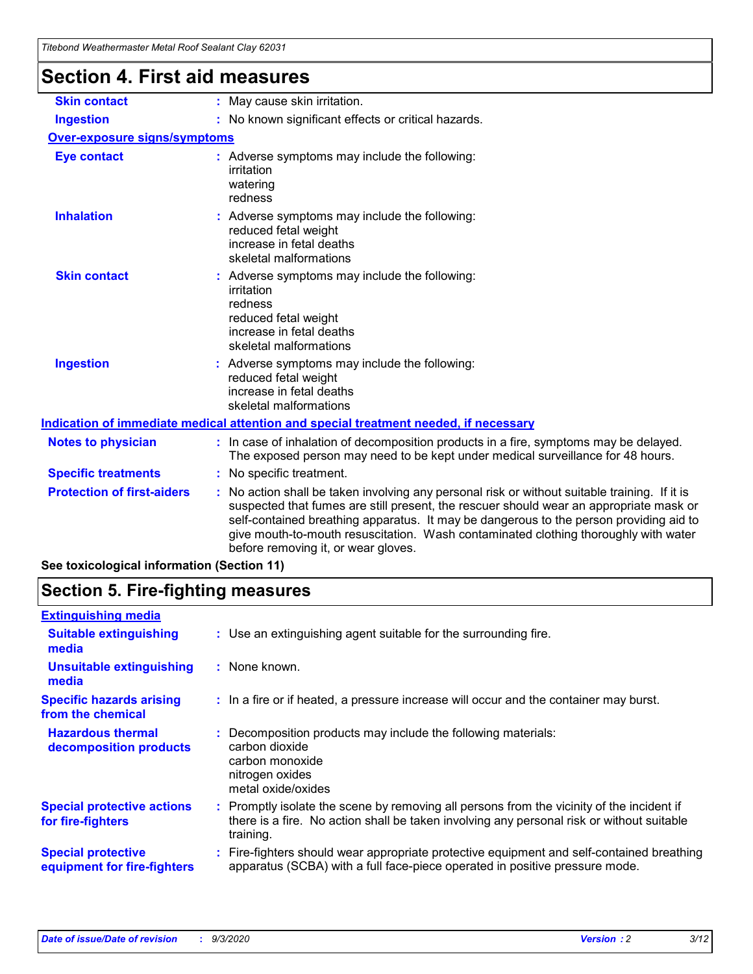| <u>Hiebond Wealhenhaster Metal Roof Sealant Clay 6203 F</u> |                                                                                                                                                                                                                                                                                                                                                                                                               |
|-------------------------------------------------------------|---------------------------------------------------------------------------------------------------------------------------------------------------------------------------------------------------------------------------------------------------------------------------------------------------------------------------------------------------------------------------------------------------------------|
| <b>Section 4. First aid measures</b>                        |                                                                                                                                                                                                                                                                                                                                                                                                               |
| <b>Skin contact</b>                                         | : May cause skin irritation.                                                                                                                                                                                                                                                                                                                                                                                  |
| <b>Ingestion</b>                                            | : No known significant effects or critical hazards.                                                                                                                                                                                                                                                                                                                                                           |
| <b>Over-exposure signs/symptoms</b>                         |                                                                                                                                                                                                                                                                                                                                                                                                               |
| <b>Eye contact</b>                                          | : Adverse symptoms may include the following:<br>irritation<br>watering<br>redness                                                                                                                                                                                                                                                                                                                            |
| <b>Inhalation</b>                                           | : Adverse symptoms may include the following:<br>reduced fetal weight<br>increase in fetal deaths<br>skeletal malformations                                                                                                                                                                                                                                                                                   |
| <b>Skin contact</b>                                         | : Adverse symptoms may include the following:<br>irritation<br>redness<br>reduced fetal weight<br>increase in fetal deaths<br>skeletal malformations                                                                                                                                                                                                                                                          |
| <b>Ingestion</b>                                            | : Adverse symptoms may include the following:<br>reduced fetal weight<br>increase in fetal deaths<br>skeletal malformations                                                                                                                                                                                                                                                                                   |
|                                                             | Indication of immediate medical attention and special treatment needed, if necessary                                                                                                                                                                                                                                                                                                                          |
| <b>Notes to physician</b>                                   | : In case of inhalation of decomposition products in a fire, symptoms may be delayed.<br>The exposed person may need to be kept under medical surveillance for 48 hours.                                                                                                                                                                                                                                      |
| <b>Specific treatments</b>                                  | : No specific treatment.                                                                                                                                                                                                                                                                                                                                                                                      |
| <b>Protection of first-aiders</b>                           | No action shall be taken involving any personal risk or without suitable training. If it is<br>suspected that fumes are still present, the rescuer should wear an appropriate mask or<br>self-contained breathing apparatus. It may be dangerous to the person providing aid to<br>give mouth-to-mouth resuscitation. Wash contaminated clothing thoroughly with water<br>before removing it, or wear gloves. |
| See toxicological information (Section 11)                  |                                                                                                                                                                                                                                                                                                                                                                                                               |

# **Section 5. Fire-fighting measures**

| <b>Extinguishing media</b>                               |                                                                                                                                                                                                     |  |
|----------------------------------------------------------|-----------------------------------------------------------------------------------------------------------------------------------------------------------------------------------------------------|--|
| <b>Suitable extinguishing</b><br>media                   | : Use an extinguishing agent suitable for the surrounding fire.                                                                                                                                     |  |
| <b>Unsuitable extinguishing</b><br>media                 | : None known.                                                                                                                                                                                       |  |
| <b>Specific hazards arising</b><br>from the chemical     | : In a fire or if heated, a pressure increase will occur and the container may burst.                                                                                                               |  |
| <b>Hazardous thermal</b><br>decomposition products       | Decomposition products may include the following materials:<br>carbon dioxide<br>carbon monoxide<br>nitrogen oxides<br>metal oxide/oxides                                                           |  |
| <b>Special protective actions</b><br>for fire-fighters   | : Promptly isolate the scene by removing all persons from the vicinity of the incident if<br>there is a fire. No action shall be taken involving any personal risk or without suitable<br>training. |  |
| <b>Special protective</b><br>equipment for fire-fighters | : Fire-fighters should wear appropriate protective equipment and self-contained breathing<br>apparatus (SCBA) with a full face-piece operated in positive pressure mode.                            |  |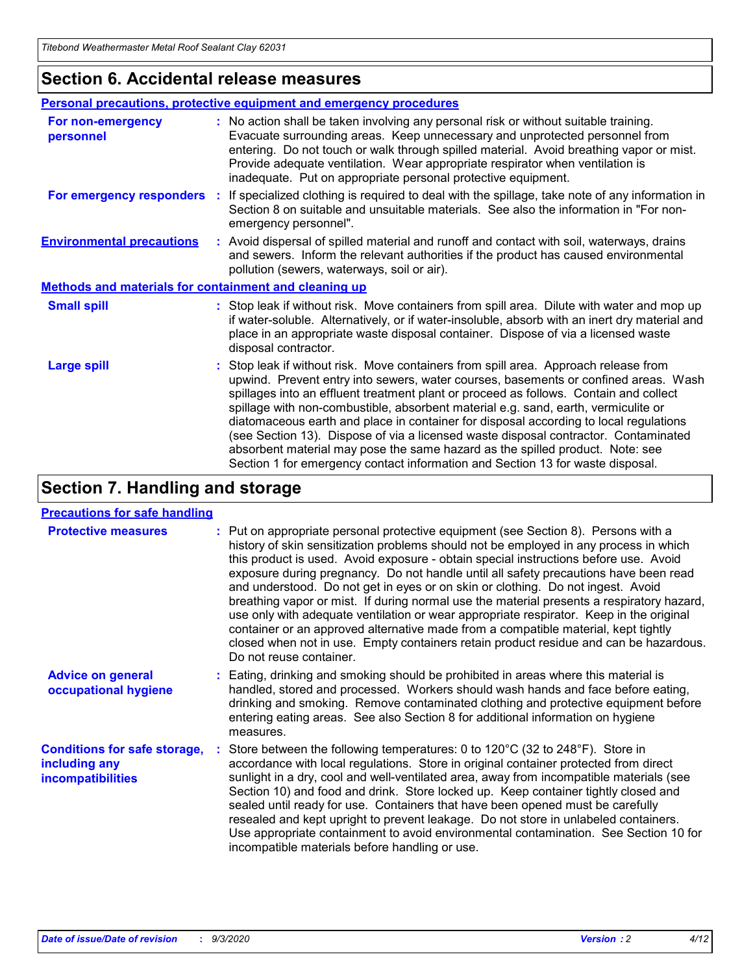### **Section 6. Accidental release measures**

|                                                              | Personal precautions, protective equipment and emergency procedures                                                                                                                                                                                                                                                                                                                                                                                                                                                                                                                                                                                                                                          |  |  |  |
|--------------------------------------------------------------|--------------------------------------------------------------------------------------------------------------------------------------------------------------------------------------------------------------------------------------------------------------------------------------------------------------------------------------------------------------------------------------------------------------------------------------------------------------------------------------------------------------------------------------------------------------------------------------------------------------------------------------------------------------------------------------------------------------|--|--|--|
| For non-emergency<br>personnel                               | : No action shall be taken involving any personal risk or without suitable training.<br>Evacuate surrounding areas. Keep unnecessary and unprotected personnel from<br>entering. Do not touch or walk through spilled material. Avoid breathing vapor or mist.<br>Provide adequate ventilation. Wear appropriate respirator when ventilation is<br>inadequate. Put on appropriate personal protective equipment.                                                                                                                                                                                                                                                                                             |  |  |  |
| For emergency responders                                     | : If specialized clothing is required to deal with the spillage, take note of any information in<br>Section 8 on suitable and unsuitable materials. See also the information in "For non-<br>emergency personnel".                                                                                                                                                                                                                                                                                                                                                                                                                                                                                           |  |  |  |
| <b>Environmental precautions</b>                             | : Avoid dispersal of spilled material and runoff and contact with soil, waterways, drains<br>and sewers. Inform the relevant authorities if the product has caused environmental<br>pollution (sewers, waterways, soil or air).                                                                                                                                                                                                                                                                                                                                                                                                                                                                              |  |  |  |
| <b>Methods and materials for containment and cleaning up</b> |                                                                                                                                                                                                                                                                                                                                                                                                                                                                                                                                                                                                                                                                                                              |  |  |  |
| <b>Small spill</b>                                           | : Stop leak if without risk. Move containers from spill area. Dilute with water and mop up<br>if water-soluble. Alternatively, or if water-insoluble, absorb with an inert dry material and<br>place in an appropriate waste disposal container. Dispose of via a licensed waste<br>disposal contractor.                                                                                                                                                                                                                                                                                                                                                                                                     |  |  |  |
| <b>Large spill</b>                                           | : Stop leak if without risk. Move containers from spill area. Approach release from<br>upwind. Prevent entry into sewers, water courses, basements or confined areas. Wash<br>spillages into an effluent treatment plant or proceed as follows. Contain and collect<br>spillage with non-combustible, absorbent material e.g. sand, earth, vermiculite or<br>diatomaceous earth and place in container for disposal according to local regulations<br>(see Section 13). Dispose of via a licensed waste disposal contractor. Contaminated<br>absorbent material may pose the same hazard as the spilled product. Note: see<br>Section 1 for emergency contact information and Section 13 for waste disposal. |  |  |  |

## **Section 7. Handling and storage**

#### **Precautions for safe handling**

| <b>Protective measures</b>                                                       | : Put on appropriate personal protective equipment (see Section 8). Persons with a<br>history of skin sensitization problems should not be employed in any process in which<br>this product is used. Avoid exposure - obtain special instructions before use. Avoid<br>exposure during pregnancy. Do not handle until all safety precautions have been read<br>and understood. Do not get in eyes or on skin or clothing. Do not ingest. Avoid<br>breathing vapor or mist. If during normal use the material presents a respiratory hazard,<br>use only with adequate ventilation or wear appropriate respirator. Keep in the original<br>container or an approved alternative made from a compatible material, kept tightly<br>closed when not in use. Empty containers retain product residue and can be hazardous.<br>Do not reuse container. |
|----------------------------------------------------------------------------------|--------------------------------------------------------------------------------------------------------------------------------------------------------------------------------------------------------------------------------------------------------------------------------------------------------------------------------------------------------------------------------------------------------------------------------------------------------------------------------------------------------------------------------------------------------------------------------------------------------------------------------------------------------------------------------------------------------------------------------------------------------------------------------------------------------------------------------------------------|
| <b>Advice on general</b><br>occupational hygiene                                 | : Eating, drinking and smoking should be prohibited in areas where this material is<br>handled, stored and processed. Workers should wash hands and face before eating,<br>drinking and smoking. Remove contaminated clothing and protective equipment before<br>entering eating areas. See also Section 8 for additional information on hygiene<br>measures.                                                                                                                                                                                                                                                                                                                                                                                                                                                                                    |
| <b>Conditions for safe storage,</b><br>including any<br><b>incompatibilities</b> | Store between the following temperatures: 0 to 120°C (32 to 248°F). Store in<br>accordance with local regulations. Store in original container protected from direct<br>sunlight in a dry, cool and well-ventilated area, away from incompatible materials (see<br>Section 10) and food and drink. Store locked up. Keep container tightly closed and<br>sealed until ready for use. Containers that have been opened must be carefully<br>resealed and kept upright to prevent leakage. Do not store in unlabeled containers.<br>Use appropriate containment to avoid environmental contamination. See Section 10 for<br>incompatible materials before handling or use.                                                                                                                                                                         |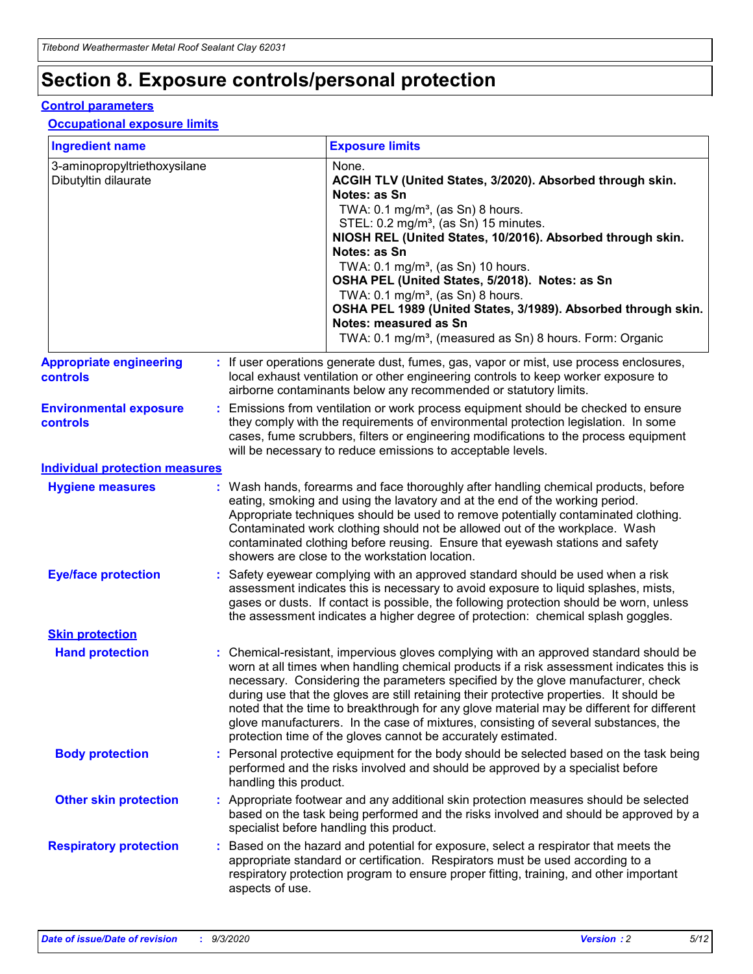# **Section 8. Exposure controls/personal protection**

#### **Control parameters**

#### **Occupational exposure limits**

| <b>Ingredient name</b>                               |    |                        | <b>Exposure limits</b>                                                                                                                                                                                                                                                                                                                                                                                                                                                                                                                                                                                                 |
|------------------------------------------------------|----|------------------------|------------------------------------------------------------------------------------------------------------------------------------------------------------------------------------------------------------------------------------------------------------------------------------------------------------------------------------------------------------------------------------------------------------------------------------------------------------------------------------------------------------------------------------------------------------------------------------------------------------------------|
| 3-aminopropyltriethoxysilane<br>Dibutyltin dilaurate |    |                        | None.<br>ACGIH TLV (United States, 3/2020). Absorbed through skin.<br>Notes: as Sn<br>TWA: 0.1 mg/m <sup>3</sup> , (as Sn) 8 hours.<br>STEL: 0.2 mg/m <sup>3</sup> , (as Sn) 15 minutes.<br>NIOSH REL (United States, 10/2016). Absorbed through skin.<br>Notes: as Sn<br>TWA: 0.1 mg/m <sup>3</sup> , (as Sn) 10 hours.<br>OSHA PEL (United States, 5/2018). Notes: as Sn<br>TWA: $0.1 \text{ mg/m}^3$ , (as Sn) 8 hours.<br>OSHA PEL 1989 (United States, 3/1989). Absorbed through skin.<br>Notes: measured as Sn<br>TWA: 0.1 mg/m <sup>3</sup> , (measured as Sn) 8 hours. Form: Organic                           |
| <b>Appropriate engineering</b><br>controls           |    |                        | : If user operations generate dust, fumes, gas, vapor or mist, use process enclosures,<br>local exhaust ventilation or other engineering controls to keep worker exposure to<br>airborne contaminants below any recommended or statutory limits.                                                                                                                                                                                                                                                                                                                                                                       |
| <b>Environmental exposure</b><br><b>controls</b>     |    |                        | Emissions from ventilation or work process equipment should be checked to ensure<br>they comply with the requirements of environmental protection legislation. In some<br>cases, fume scrubbers, filters or engineering modifications to the process equipment<br>will be necessary to reduce emissions to acceptable levels.                                                                                                                                                                                                                                                                                          |
| <b>Individual protection measures</b>                |    |                        |                                                                                                                                                                                                                                                                                                                                                                                                                                                                                                                                                                                                                        |
| <b>Hygiene measures</b>                              |    |                        | : Wash hands, forearms and face thoroughly after handling chemical products, before<br>eating, smoking and using the lavatory and at the end of the working period.<br>Appropriate techniques should be used to remove potentially contaminated clothing.<br>Contaminated work clothing should not be allowed out of the workplace. Wash<br>contaminated clothing before reusing. Ensure that eyewash stations and safety<br>showers are close to the workstation location.                                                                                                                                            |
| <b>Eye/face protection</b>                           |    |                        | : Safety eyewear complying with an approved standard should be used when a risk<br>assessment indicates this is necessary to avoid exposure to liquid splashes, mists,<br>gases or dusts. If contact is possible, the following protection should be worn, unless<br>the assessment indicates a higher degree of protection: chemical splash goggles.                                                                                                                                                                                                                                                                  |
| <b>Skin protection</b>                               |    |                        |                                                                                                                                                                                                                                                                                                                                                                                                                                                                                                                                                                                                                        |
| <b>Hand protection</b>                               |    |                        | : Chemical-resistant, impervious gloves complying with an approved standard should be<br>worn at all times when handling chemical products if a risk assessment indicates this is<br>necessary. Considering the parameters specified by the glove manufacturer, check<br>during use that the gloves are still retaining their protective properties. It should be<br>noted that the time to breakthrough for any glove material may be different for different<br>glove manufacturers. In the case of mixtures, consisting of several substances, the<br>protection time of the gloves cannot be accurately estimated. |
| <b>Body protection</b>                               |    | handling this product. | Personal protective equipment for the body should be selected based on the task being<br>performed and the risks involved and should be approved by a specialist before                                                                                                                                                                                                                                                                                                                                                                                                                                                |
| <b>Other skin protection</b>                         |    |                        | : Appropriate footwear and any additional skin protection measures should be selected<br>based on the task being performed and the risks involved and should be approved by a<br>specialist before handling this product.                                                                                                                                                                                                                                                                                                                                                                                              |
| <b>Respiratory protection</b>                        | ÷. | aspects of use.        | Based on the hazard and potential for exposure, select a respirator that meets the<br>appropriate standard or certification. Respirators must be used according to a<br>respiratory protection program to ensure proper fitting, training, and other important                                                                                                                                                                                                                                                                                                                                                         |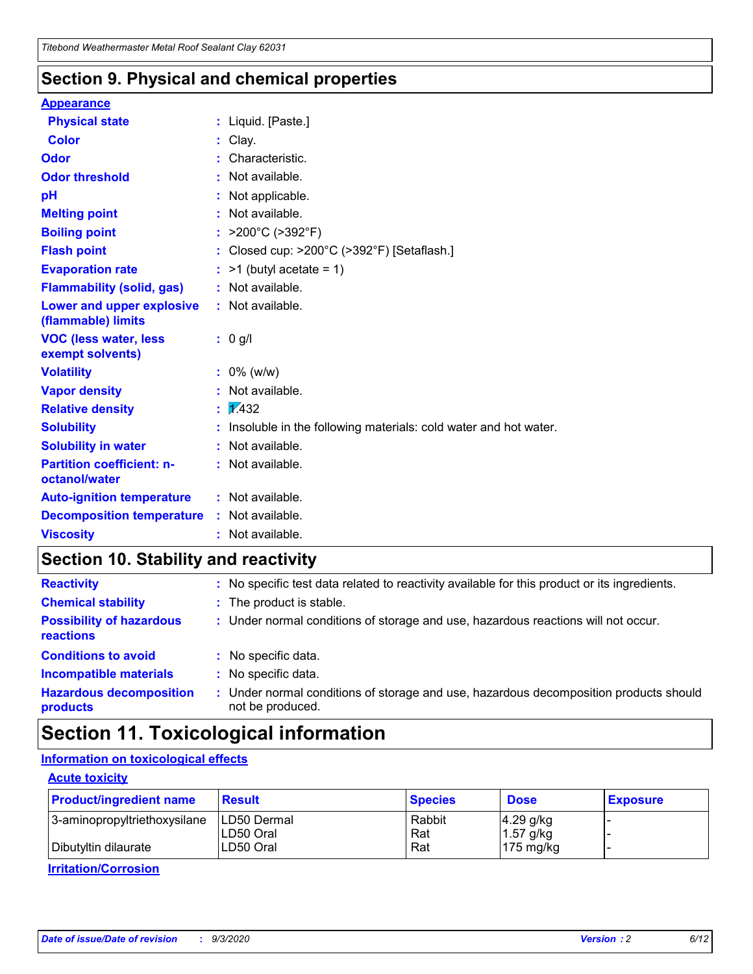### **Section 9. Physical and chemical properties**

#### **Appearance**

| <b>Physical state</b>                                  |    | : Liquid. [Paste.]                                              |
|--------------------------------------------------------|----|-----------------------------------------------------------------|
| <b>Color</b>                                           |    | Clay.                                                           |
| Odor                                                   |    | Characteristic.                                                 |
| <b>Odor threshold</b>                                  | ÷  | Not available.                                                  |
| рH                                                     |    | Not applicable.                                                 |
| <b>Melting point</b>                                   |    | : Not available.                                                |
| <b>Boiling point</b>                                   |    | >200°C (>392°F)                                                 |
| <b>Flash point</b>                                     |    | Closed cup: >200°C (>392°F) [Setaflash.]                        |
| <b>Evaporation rate</b>                                |    | $:$ >1 (butyl acetate = 1)                                      |
| <b>Flammability (solid, gas)</b>                       |    | : Not available.                                                |
| <b>Lower and upper explosive</b><br>(flammable) limits |    | : Not available.                                                |
| <b>VOC (less water, less)</b><br>exempt solvents)      |    | : 0 g/l                                                         |
| <b>Volatility</b>                                      |    | $: 0\%$ (w/w)                                                   |
| <b>Vapor density</b>                                   |    | Not available.                                                  |
| <b>Relative density</b>                                | ÷. | $\sqrt{1/432}$                                                  |
| <b>Solubility</b>                                      |    | Insoluble in the following materials: cold water and hot water. |
| <b>Solubility in water</b>                             |    | Not available.                                                  |
| <b>Partition coefficient: n-</b><br>octanol/water      |    | $:$ Not available.                                              |
| <b>Auto-ignition temperature</b>                       |    | $:$ Not available.                                              |
| <b>Decomposition temperature</b>                       |    | : Not available.                                                |
| <b>Viscosity</b>                                       |    | : Not available.                                                |

## **Section 10. Stability and reactivity**

| <b>Reactivity</b>                            |    | : No specific test data related to reactivity available for this product or its ingredients.            |
|----------------------------------------------|----|---------------------------------------------------------------------------------------------------------|
| <b>Chemical stability</b>                    |    | : The product is stable.                                                                                |
| <b>Possibility of hazardous</b><br>reactions |    | : Under normal conditions of storage and use, hazardous reactions will not occur.                       |
| <b>Conditions to avoid</b>                   |    | : No specific data.                                                                                     |
| <b>Incompatible materials</b>                | ٠. | No specific data.                                                                                       |
| <b>Hazardous decomposition</b><br>products   | ÷. | Under normal conditions of storage and use, hazardous decomposition products should<br>not be produced. |

# **Section 11. Toxicological information**

#### **Information on toxicological effects**

#### **Acute toxicity**

| <b>Product/ingredient name</b> | <b>Result</b>           | <b>Species</b> | <b>Dose</b>                | <b>Exposure</b> |
|--------------------------------|-------------------------|----------------|----------------------------|-----------------|
| 3-aminopropyltriethoxysilane   | <b>ILD50 Dermal</b>     | Rabbit         | 4.29 g/kg                  |                 |
| Dibutyltin dilaurate           | ILD50 Oral<br>LD50 Oral | Rat<br>Rat     | $1.57$ g/kg<br>175 $mg/kg$ |                 |
|                                |                         |                |                            |                 |

**Irritation/Corrosion**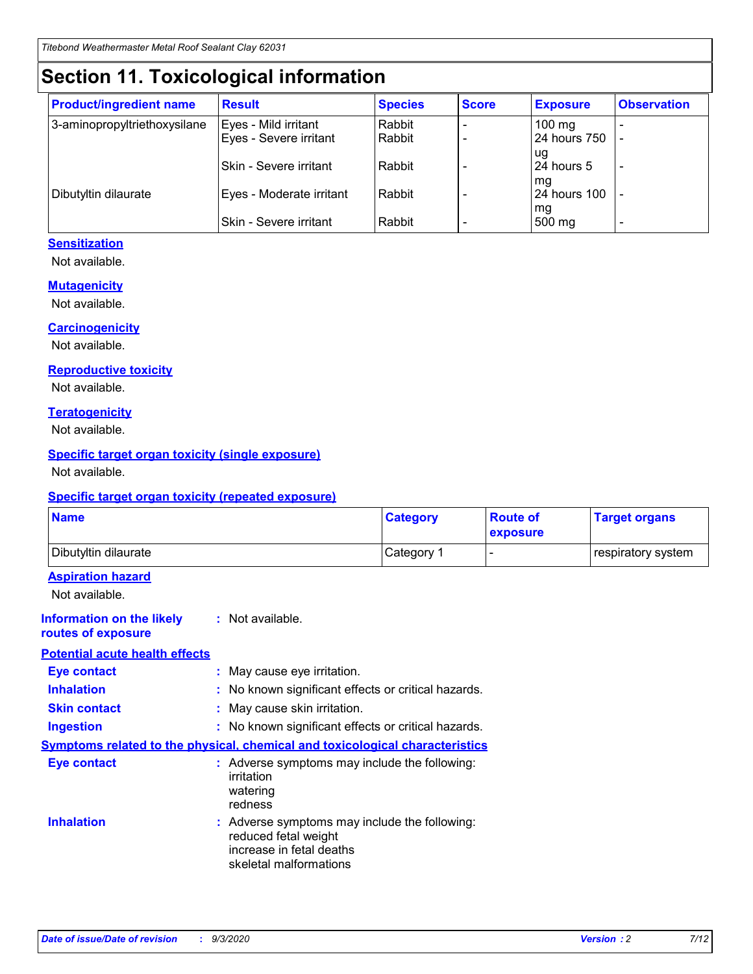# **Section 11. Toxicological information**

| <b>Product/ingredient name</b> | <b>Result</b>                 | <b>Species</b> | <b>Score</b> | <b>Exposure</b>    | <b>Observation</b> |
|--------------------------------|-------------------------------|----------------|--------------|--------------------|--------------------|
| 3-aminopropyltriethoxysilane   | Eyes - Mild irritant          | Rabbit         |              | $100 \text{ mg}$   |                    |
|                                | Eyes - Severe irritant        | Rabbit         |              | 24 hours 750       |                    |
|                                |                               |                |              | ug                 |                    |
|                                | <b>Skin - Severe irritant</b> | Rabbit         |              | 24 hours 5         | -                  |
| Dibutyltin dilaurate           | Eyes - Moderate irritant      | Rabbit         |              | mq<br>24 hours 100 |                    |
|                                |                               |                |              | mg                 |                    |
|                                | Skin - Severe irritant        | Rabbit         |              | 500 mg             |                    |

#### **Sensitization**

Not available.

#### **Mutagenicity**

Not available.

#### **Carcinogenicity**

Not available.

#### **Reproductive toxicity**

Not available.

#### **Teratogenicity**

Not available.

#### **Specific target organ toxicity (single exposure)**

Not available.

#### **Specific target organ toxicity (repeated exposure)**

| <b>Name</b>                                                                  |                                                                                    | <b>Category</b>                                     | <b>Route of</b><br>exposure | <b>Target organs</b> |  |  |
|------------------------------------------------------------------------------|------------------------------------------------------------------------------------|-----------------------------------------------------|-----------------------------|----------------------|--|--|
| Dibutyltin dilaurate                                                         |                                                                                    | Category 1                                          | $\overline{\phantom{0}}$    | respiratory system   |  |  |
| <b>Aspiration hazard</b><br>Not available.                                   |                                                                                    |                                                     |                             |                      |  |  |
| <b>Information on the likely</b><br>routes of exposure                       | : Not available.                                                                   |                                                     |                             |                      |  |  |
| <b>Potential acute health effects</b>                                        |                                                                                    |                                                     |                             |                      |  |  |
| <b>Eye contact</b>                                                           | : May cause eye irritation.                                                        |                                                     |                             |                      |  |  |
| <b>Inhalation</b>                                                            |                                                                                    | : No known significant effects or critical hazards. |                             |                      |  |  |
| <b>Skin contact</b>                                                          |                                                                                    | : May cause skin irritation.                        |                             |                      |  |  |
| <b>Ingestion</b>                                                             |                                                                                    | : No known significant effects or critical hazards. |                             |                      |  |  |
| Symptoms related to the physical, chemical and toxicological characteristics |                                                                                    |                                                     |                             |                      |  |  |
| <b>Eye contact</b>                                                           | : Adverse symptoms may include the following:<br>irritation<br>watering<br>redness |                                                     |                             |                      |  |  |
| <b>Inhalation</b>                                                            | reduced fetal weight<br>increase in fetal deaths<br>skeletal malformations         | : Adverse symptoms may include the following:       |                             |                      |  |  |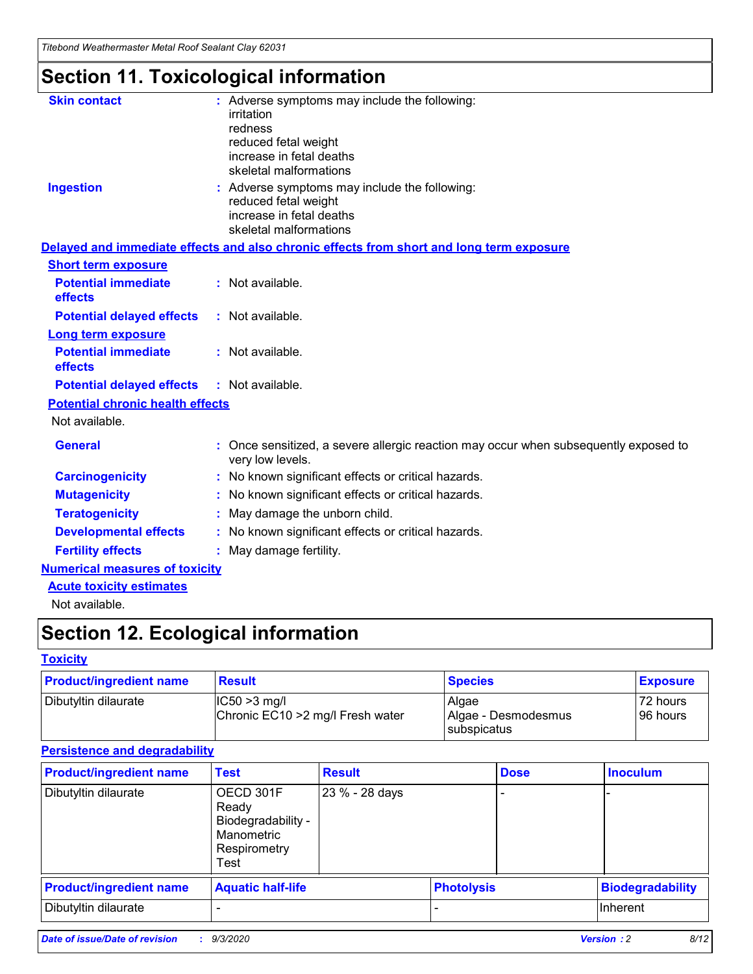*Titebond Weathermaster Metal Roof Sealant Clay 62031*

# **Section 11. Toxicological information**

| <b>Skin contact</b>                     | : Adverse symptoms may include the following:<br>irritation                                                                 |  |
|-----------------------------------------|-----------------------------------------------------------------------------------------------------------------------------|--|
|                                         | redness                                                                                                                     |  |
|                                         | reduced fetal weight<br>increase in fetal deaths                                                                            |  |
|                                         | skeletal malformations                                                                                                      |  |
| <b>Ingestion</b>                        | : Adverse symptoms may include the following:<br>reduced fetal weight<br>increase in fetal deaths<br>skeletal malformations |  |
|                                         | Delayed and immediate effects and also chronic effects from short and long term exposure                                    |  |
| <b>Short term exposure</b>              |                                                                                                                             |  |
| <b>Potential immediate</b><br>effects   | : Not available.                                                                                                            |  |
| <b>Potential delayed effects</b>        | : Not available.                                                                                                            |  |
| <b>Long term exposure</b>               |                                                                                                                             |  |
| <b>Potential immediate</b><br>effects   | : Not available.                                                                                                            |  |
| <b>Potential delayed effects</b>        | : Not available.                                                                                                            |  |
| <b>Potential chronic health effects</b> |                                                                                                                             |  |
| Not available.                          |                                                                                                                             |  |
| <b>General</b>                          | Once sensitized, a severe allergic reaction may occur when subsequently exposed to<br>very low levels.                      |  |
| <b>Carcinogenicity</b>                  | : No known significant effects or critical hazards.                                                                         |  |
| <b>Mutagenicity</b>                     | : No known significant effects or critical hazards.                                                                         |  |
| <b>Teratogenicity</b>                   | May damage the unborn child.                                                                                                |  |
| <b>Developmental effects</b>            | : No known significant effects or critical hazards.                                                                         |  |
| <b>Fertility effects</b>                | May damage fertility.                                                                                                       |  |
| <b>Numerical measures of toxicity</b>   |                                                                                                                             |  |
| <b>Acute toxicity estimates</b>         |                                                                                                                             |  |
| الملحلة والمستحقق فالمرابط              |                                                                                                                             |  |

Not available.

# **Section 12. Ecological information**

#### **Toxicity**

| <b>Product/ingredient name</b> | <b>Result</b>                                       | <b>Species</b>               | <b>Exposure</b>       |
|--------------------------------|-----------------------------------------------------|------------------------------|-----------------------|
| Dibutyltin dilaurate           | $ IC50>3$ mg/l<br>Chronic EC10 > 2 mg/l Fresh water | Algae<br>Algae - Desmodesmus | 72 hours<br>196 hours |
|                                |                                                     | subspicatus                  |                       |

#### **Persistence and degradability**

| <b>Product/ingredient name</b> | <b>Test</b>                                                                    | <b>Result</b>  |  | <b>Dose</b>       | <b>Inoculum</b>         |
|--------------------------------|--------------------------------------------------------------------------------|----------------|--|-------------------|-------------------------|
| Dibutyltin dilaurate           | OECD 301F<br>Ready<br>Biodegradability -<br>Manometric<br>Respirometry<br>Test | 23 % - 28 days |  |                   |                         |
| <b>Product/ingredient name</b> | <b>Aquatic half-life</b>                                                       |                |  | <b>Photolysis</b> | <b>Biodegradability</b> |
| Dibutyltin dilaurate           |                                                                                |                |  |                   | <b>Inherent</b>         |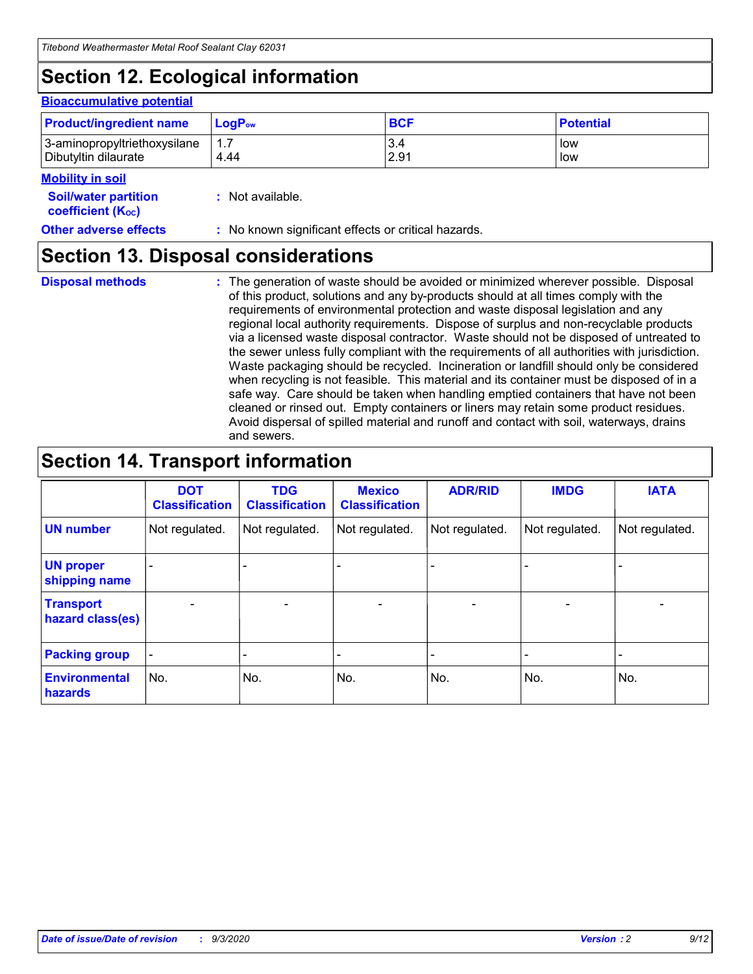# **Section 12. Ecological information**

#### **Bioaccumulative potential**

| <b>Product/ingredient name</b> | $\mathsf{LogP}_\mathsf{ow}$ | <b>BCF</b> | <b>Potential</b> |
|--------------------------------|-----------------------------|------------|------------------|
| 3-aminopropyltriethoxysilane   | 1.7                         | 3.4        | low              |
| Dibutyltin dilaurate           | 4.44                        | 2.91       | low              |

#### **Mobility in soil**

| <b>Soil/water partition</b><br>coefficient (K <sub>oc</sub> ) | : Not available.                                    |
|---------------------------------------------------------------|-----------------------------------------------------|
| <b>Other adverse effects</b>                                  | : No known significant effects or critical hazards. |

### **Section 13. Disposal considerations**

**Disposal methods :**

The generation of waste should be avoided or minimized wherever possible. Disposal of this product, solutions and any by-products should at all times comply with the requirements of environmental protection and waste disposal legislation and any regional local authority requirements. Dispose of surplus and non-recyclable products via a licensed waste disposal contractor. Waste should not be disposed of untreated to the sewer unless fully compliant with the requirements of all authorities with jurisdiction. Waste packaging should be recycled. Incineration or landfill should only be considered when recycling is not feasible. This material and its container must be disposed of in a safe way. Care should be taken when handling emptied containers that have not been cleaned or rinsed out. Empty containers or liners may retain some product residues. Avoid dispersal of spilled material and runoff and contact with soil, waterways, drains and sewers.

### **Section 14. Transport information**

|                                      | <b>DOT</b><br><b>Classification</b> | <b>TDG</b><br><b>Classification</b> | <b>Mexico</b><br><b>Classification</b> | <b>ADR/RID</b>           | <b>IMDG</b>              | <b>IATA</b>    |
|--------------------------------------|-------------------------------------|-------------------------------------|----------------------------------------|--------------------------|--------------------------|----------------|
| <b>UN number</b>                     | Not regulated.                      | Not regulated.                      | Not regulated.                         | Not regulated.           | Not regulated.           | Not regulated. |
| <b>UN proper</b><br>shipping name    |                                     |                                     |                                        |                          |                          |                |
| <b>Transport</b><br>hazard class(es) |                                     | $\overline{\phantom{0}}$            | $\qquad \qquad \blacksquare$           | $\overline{\phantom{0}}$ | $\overline{\phantom{0}}$ |                |
| <b>Packing group</b>                 |                                     |                                     |                                        |                          |                          |                |
| <b>Environmental</b><br>hazards      | No.                                 | No.                                 | No.                                    | No.                      | No.                      | No.            |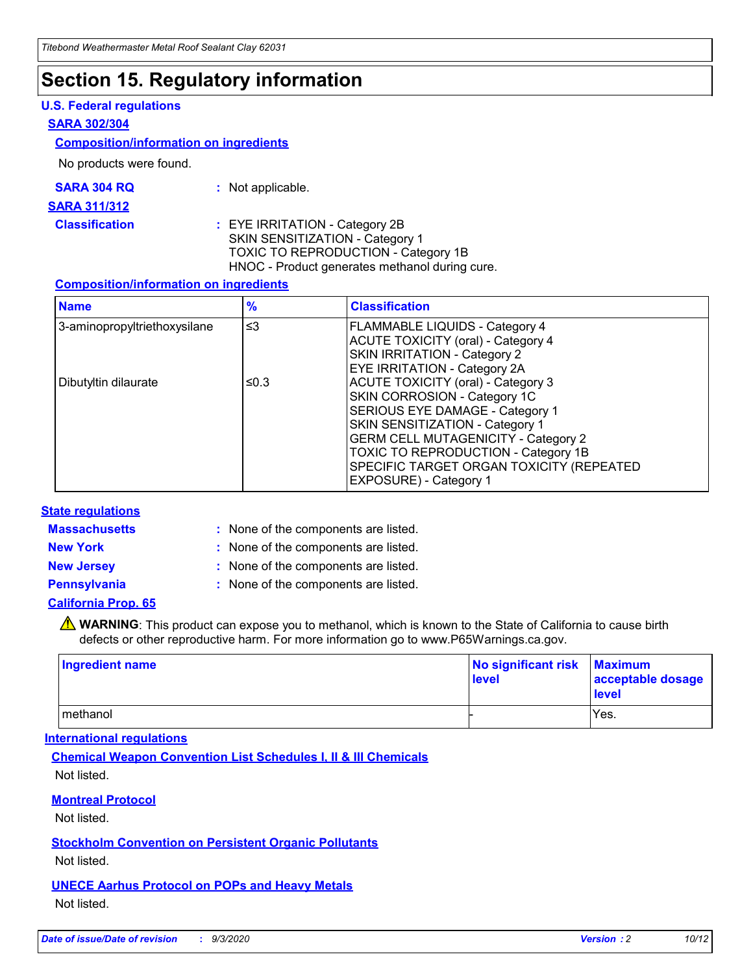## **Section 15. Regulatory information**

#### **U.S. Federal regulations**

#### **SARA 302/304**

#### **Composition/information on ingredients**

No products were found.

| SARA 304 RQ | Not applicable. |
|-------------|-----------------|
|-------------|-----------------|

#### **SARA 311/312**

**Classification :** EYE IRRITATION - Category 2B SKIN SENSITIZATION - Category 1 TOXIC TO REPRODUCTION - Category 1B HNOC - Product generates methanol during cure.

#### **Composition/information on ingredients**

| <b>Name</b>                  | $\frac{9}{6}$ | <b>Classification</b>                                                                                                                                                                                                                                                                                      |
|------------------------------|---------------|------------------------------------------------------------------------------------------------------------------------------------------------------------------------------------------------------------------------------------------------------------------------------------------------------------|
| 3-aminopropyltriethoxysilane | $\leq$ 3      | <b>FLAMMABLE LIQUIDS - Category 4</b><br><b>ACUTE TOXICITY (oral) - Category 4</b><br><b>SKIN IRRITATION - Category 2</b><br>EYE IRRITATION - Category 2A                                                                                                                                                  |
| Dibutyltin dilaurate         | ≤0.3          | <b>ACUTE TOXICITY (oral) - Category 3</b><br>SKIN CORROSION - Category 1C<br>SERIOUS EYE DAMAGE - Category 1<br>SKIN SENSITIZATION - Category 1<br><b>GERM CELL MUTAGENICITY - Category 2</b><br>TOXIC TO REPRODUCTION - Category 1B<br>SPECIFIC TARGET ORGAN TOXICITY (REPEATED<br>EXPOSURE) - Category 1 |

#### **State regulations**

**Massachusetts :**

: None of the components are listed.

**New York :** None of the components are listed. **New Jersey :** None of the components are listed.

**Pennsylvania :** None of the components are listed.

#### **California Prop. 65**

WARNING: This product can expose you to methanol, which is known to the State of California to cause birth defects or other reproductive harm. For more information go to www.P65Warnings.ca.gov.

| Ingredient name | No significant risk<br>level | <b>Maximum</b><br>acceptable dosage<br><b>level</b> |
|-----------------|------------------------------|-----------------------------------------------------|
| l methanol      |                              | Yes.                                                |

#### **International regulations**

**Chemical Weapon Convention List Schedules I, II & III Chemicals** Not listed.

#### **Montreal Protocol**

Not listed.

**Stockholm Convention on Persistent Organic Pollutants**

Not listed.

#### **UNECE Aarhus Protocol on POPs and Heavy Metals** Not listed.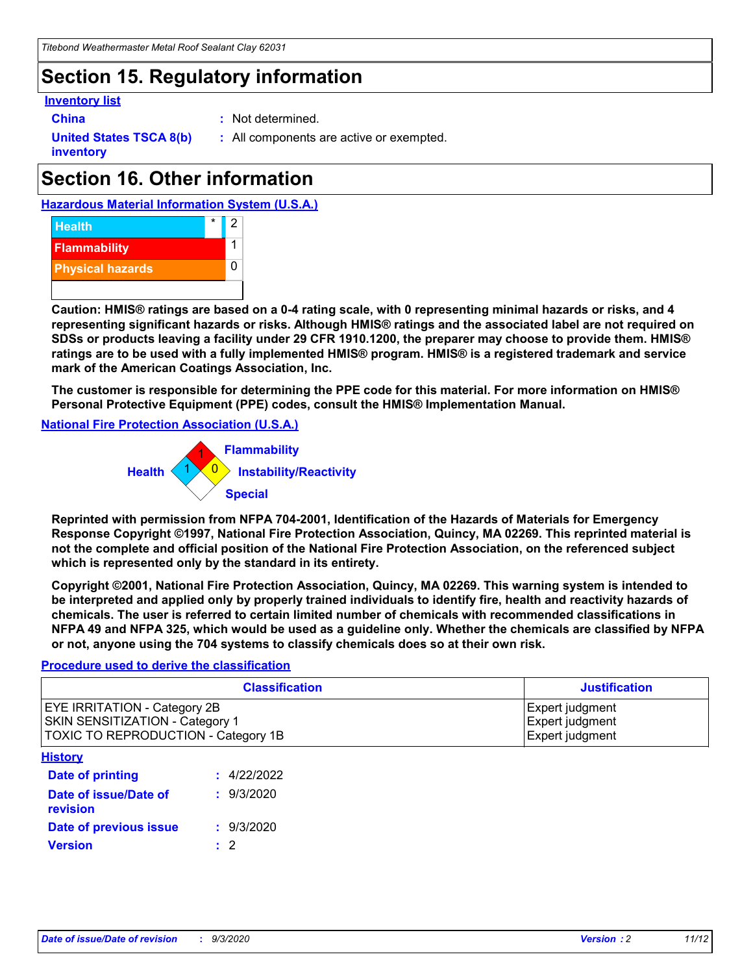# **Section 15. Regulatory information**

#### **Inventory list**

- 
- **China :** Not determined.

**United States TSCA 8(b) inventory**

**:** All components are active or exempted.

# **Section 16. Other information**





**Caution: HMIS® ratings are based on a 0-4 rating scale, with 0 representing minimal hazards or risks, and 4 representing significant hazards or risks. Although HMIS® ratings and the associated label are not required on SDSs or products leaving a facility under 29 CFR 1910.1200, the preparer may choose to provide them. HMIS® ratings are to be used with a fully implemented HMIS® program. HMIS® is a registered trademark and service mark of the American Coatings Association, Inc.**

**The customer is responsible for determining the PPE code for this material. For more information on HMIS® Personal Protective Equipment (PPE) codes, consult the HMIS® Implementation Manual.**

**National Fire Protection Association (U.S.A.)**



**Reprinted with permission from NFPA 704-2001, Identification of the Hazards of Materials for Emergency Response Copyright ©1997, National Fire Protection Association, Quincy, MA 02269. This reprinted material is not the complete and official position of the National Fire Protection Association, on the referenced subject which is represented only by the standard in its entirety.**

**Copyright ©2001, National Fire Protection Association, Quincy, MA 02269. This warning system is intended to be interpreted and applied only by properly trained individuals to identify fire, health and reactivity hazards of chemicals. The user is referred to certain limited number of chemicals with recommended classifications in NFPA 49 and NFPA 325, which would be used as a guideline only. Whether the chemicals are classified by NFPA or not, anyone using the 704 systems to classify chemicals does so at their own risk.**

#### **Procedure used to derive the classification**

| <b>Classification</b>                                                                                         | <b>Justification</b>                                  |
|---------------------------------------------------------------------------------------------------------------|-------------------------------------------------------|
| <b>EYE IRRITATION - Category 2B</b><br>SKIN SENSITIZATION - Category 1<br>TOXIC TO REPRODUCTION - Category 1B | Expert judgment<br>Expert judgment<br>Expert judgment |
| <b>History</b>                                                                                                |                                                       |

| .                                 |             |
|-----------------------------------|-------------|
| <b>Date of printing</b>           | : 4/22/2022 |
| Date of issue/Date of<br>revision | : 9/3/2020  |
| Date of previous issue            | : 9/3/2020  |
| <b>Version</b>                    | $\cdot$ 2   |
|                                   |             |